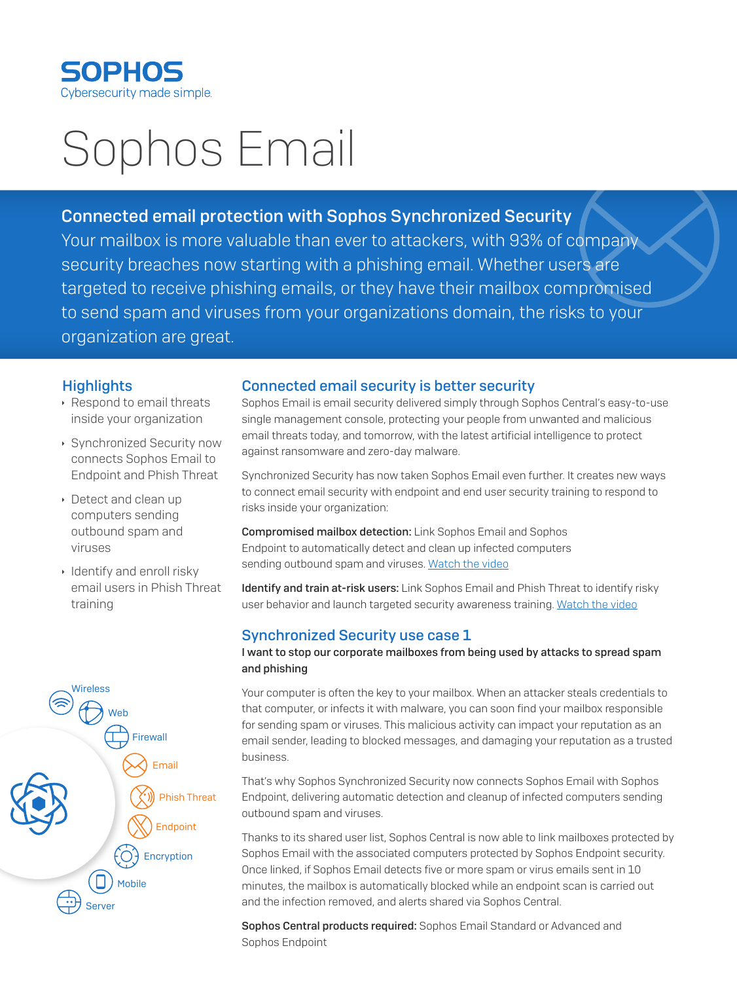

# Sophos Email

## Connected email protection with Sophos Synchronized Security

Your mailbox is more valuable than ever to attackers, with 93% of company security breaches now starting with a phishing email. Whether users are targeted to receive phishing emails, or they have their mailbox compromised to send spam and viruses from your organizations domain, the risks to your organization are great.

## **Highlights**

- **Respond to email threats** inside your organization
- **Synchronized Security now** connects Sophos Email to Endpoint and Phish Threat
- **Detect and clean up** computers sending outbound spam and viruses
- $\cdot$  Identify and enroll risky email users in Phish Threat training



## Connected email security is better security

Sophos Email is email security delivered simply through Sophos Central's easy-to-use single management console, protecting your people from unwanted and malicious email threats today, and tomorrow, with the latest artificial intelligence to protect against ransomware and zero-day malware.

Synchronized Security has now taken Sophos Email even further. It creates new ways to connect email security with endpoint and end user security training to respond to risks inside your organization:

Compromised mailbox detection: Link Sophos Email and Sophos Endpoint to automatically detect and clean up infected computers sending outbound spam and viruses. [Watch the video](https://vimeo.com/301887579)

Identify and train at-risk users: Link Sophos Email and Phish Threat to identify risky user behavior and launch targeted security awareness training. [Watch the video](https://vimeo.com/299076124)

## Synchronized Security use case 1

#### I want to stop our corporate mailboxes from being used by attacks to spread spam and phishing

Your computer is often the key to your mailbox. When an attacker steals credentials to that computer, or infects it with malware, you can soon find your mailbox responsible for sending spam or viruses. This malicious activity can impact your reputation as an email sender, leading to blocked messages, and damaging your reputation as a trusted business.

That's why Sophos Synchronized Security now connects Sophos Email with Sophos Endpoint, delivering automatic detection and cleanup of infected computers sending outbound spam and viruses.

Thanks to its shared user list, Sophos Central is now able to link mailboxes protected by Sophos Email with the associated computers protected by Sophos Endpoint security. Once linked, if Sophos Email detects five or more spam or virus emails sent in 10 minutes, the mailbox is automatically blocked while an endpoint scan is carried out and the infection removed, and alerts shared via Sophos Central.

Sophos Central products required: Sophos Email Standard or Advanced and Sophos Endpoint